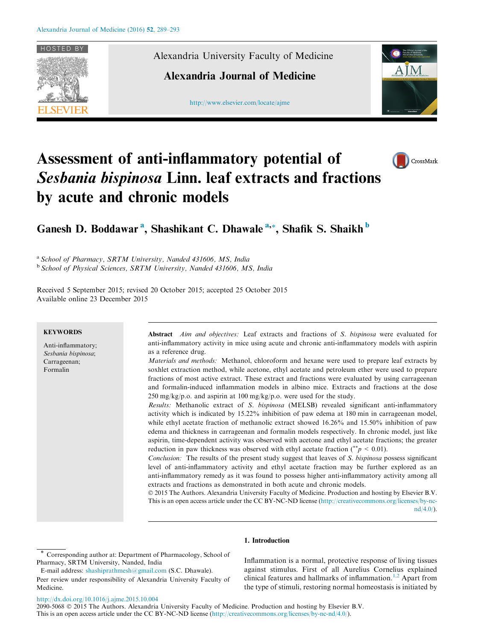

Alexandria University Faculty of Medicine

Alexandria Journal of Medicine

[http://www.elsevier.com/locate/ajme](http://www.sciencedirect.com/science/journal/20905068)



CrossMark

# Assessment of anti-inflammatory potential of Sesbania bispinosa Linn. leaf extracts and fractions by acute and chronic models



<sup>a</sup> School of Pharmacy, SRTM University, Nanded 431606, MS, India <sup>b</sup> School of Physical Sciences, SRTM University, Nanded 431606, MS, India

Received 5 September 2015; revised 20 October 2015; accepted 25 October 2015 Available online 23 December 2015

# **KEYWORDS**

Anti-inflammatory; Sesbania bispinosa; Carrageenan; Formalin

Abstract *Aim and objectives:* Leaf extracts and fractions of *S. bispinosa* were evaluated for anti-inflammatory activity in mice using acute and chronic anti-inflammatory models with aspirin as a reference drug.

Materials and methods: Methanol, chloroform and hexane were used to prepare leaf extracts by soxhlet extraction method, while acetone, ethyl acetate and petroleum ether were used to prepare fractions of most active extract. These extract and fractions were evaluated by using carrageenan and formalin-induced inflammation models in albino mice. Extracts and fractions at the dose 250 mg/kg/p.o. and aspirin at 100 mg/kg/p.o. were used for the study.

Results: Methanolic extract of S. bispinosa (MELSB) revealed significant anti-inflammatory activity which is indicated by 15.22% inhibition of paw edema at 180 min in carrageenan model, while ethyl acetate fraction of methanolic extract showed 16.26% and 15.50% inhibition of paw edema and thickness in carrageenan and formalin models respectively. In chronic model, just like aspirin, time-dependent activity was observed with acetone and ethyl acetate fractions; the greater reduction in paw thickness was observed with ethyl acetate fraction (\*\*p < 0.01).

Conclusion: The results of the present study suggest that leaves of S. bispinosa possess significant level of anti-inflammatory activity and ethyl acetate fraction may be further explored as an anti-inflammatory remedy as it was found to possess higher anti-inflammatory activity among all extracts and fractions as demonstrated in both acute and chronic models.

 2015 The Authors. Alexandria University Faculty of Medicine. Production and hosting by Elsevier B.V. This is an open access article under the CC BY-NC-ND license [\(http://creativecommons.org/licenses/by-nc](http://creativecommons.org/licenses/by-nc-nd/4.0/)[nd/4.0/\)](http://creativecommons.org/licenses/by-nc-nd/4.0/).

# 1. Introduction

Inflammation is a normal, protective response of living tissues against stimulus. First of all Aurelius Cornelius explained clinical features and hallmarks of inflammation.<sup>[1,2](#page-4-0)</sup> Apart from the type of stimuli, restoring normal homeostasis is initiated by

<http://dx.doi.org/10.1016/j.ajme.2015.10.004>

Corresponding author at: Department of Pharmacology, School of Pharmacy, SRTM University, Nanded, India

E-mail address: [shashiprathmesh@gmail.com](mailto:shashiprathmesh@gmail.com) (S.C. Dhawale). Peer review under responsibility of Alexandria University Faculty of Medicine.

<sup>2090-5068</sup> 2015 The Authors. Alexandria University Faculty of Medicine. Production and hosting by Elsevier B.V. This is an open access article under the CC BY-NC-ND license [\(http://creativecommons.org/licenses/by-nc-nd/4.0/](http://creativecommons.org/licenses/by-nc-nd/4.0/)).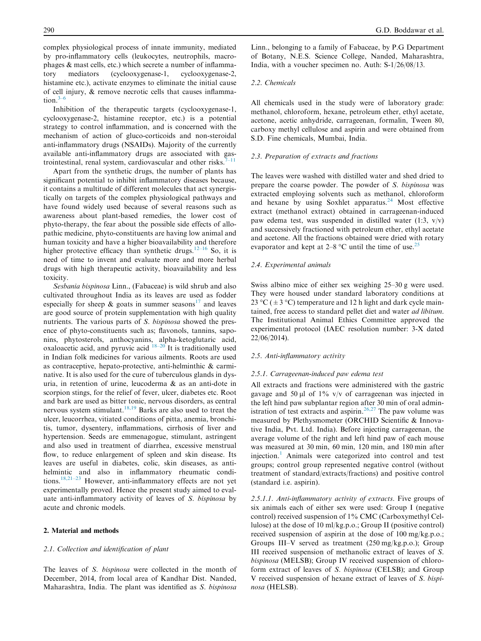complex physiological process of innate immunity, mediated by pro-inflammatory cells (leukocytes, neutrophils, macrophages & mast cells, etc.) which secrete a number of inflammatory mediators (cyclooxygenase-1, cyclooxygenase-2, histamine etc.), activate enzymes to eliminate the initial cause of cell injury, & remove necrotic cells that causes inflammation. $3-6$ 

Inhibition of the therapeutic targets (cyclooxygenase-1, cyclooxygenase-2, histamine receptor, etc.) is a potential strategy to control inflammation, and is concerned with the mechanism of action of gluco-corticoids and non-steroidal anti-inflammatory drugs (NSAIDs). Majority of the currently available anti-inflammatory drugs are associated with gas-trointestinal, renal system, cardiovascular and other risks.<sup>[7–11](#page-4-0)</sup>

Apart from the synthetic drugs, the number of plants has significant potential to inhibit inflammatory diseases because, it contains a multitude of different molecules that act synergistically on targets of the complex physiological pathways and have found widely used because of several reasons such as awareness about plant-based remedies, the lower cost of phyto-therapy, the fear about the possible side effects of allopathic medicine, phyto-constituents are having low animal and human toxicity and have a higher bioavailability and therefore higher protective efficacy than synthetic drugs.<sup>[12–16](#page-4-0)</sup> So, it is need of time to invent and evaluate more and more herbal drugs with high therapeutic activity, bioavailability and less toxicity.

Sesbania bispinosa Linn., (Fabaceae) is wild shrub and also cultivated throughout India as its leaves are used as fodder especially for sheep  $\&$  goats in summer seasons<sup>[17](#page-4-0)</sup> and leaves are good source of protein supplementation with high quality nutrients. The various parts of S. bispinosa showed the presence of phyto-constituents such as; flavonols, tannins, saponins, phytosterols, anthocyanins, alpha-ketoglutaric acid, oxaloacetic acid, and pyruvic acid [18–20](#page-4-0) It is traditionally used in Indian folk medicines for various ailments. Roots are used as contraceptive, hepato-protective, anti-helminthic & carminative. It is also used for the cure of tuberculous glands in dysuria, in retention of urine, leucoderma & as an anti-dote in scorpion stings, for the relief of fever, ulcer, diabetes etc. Root and bark are used as bitter tonic, nervous disorders, as central nervous system stimulant.[18,19](#page-4-0) Barks are also used to treat the ulcer, leucorrhea, vitiated conditions of pitta, anemia, bronchitis, tumor, dysentery, inflammations, cirrhosis of liver and hypertension. Seeds are emmenagogue, stimulant, astringent and also used in treatment of diarrhea, excessive menstrual flow, to reduce enlargement of spleen and skin disease. Its leaves are useful in diabetes, colic, skin diseases, as antihelmintic and also in inflammatory rheumatic conditions.[18,21–23](#page-4-0) However, anti-inflammatory effects are not yet experimentally proved. Hence the present study aimed to evaluate anti-inflammatory activity of leaves of S. bispinosa by acute and chronic models.

# 2. Material and methods

# 2.1. Collection and identification of plant

The leaves of S. bispinosa were collected in the month of December, 2014, from local area of Kandhar Dist. Nanded, Maharashtra, India. The plant was identified as S. bispinosa

Linn., belonging to a family of Fabaceae, by P.G Department of Botany, N.E.S. Science College, Nanded, Maharashtra, India, with a voucher specimen no. Auth: S-1/26/08/13.

#### 2.2. Chemicals

All chemicals used in the study were of laboratory grade: methanol, chloroform, hexane, petroleum ether, ethyl acetate, acetone, acetic anhydride, carrageenan, formalin, Tween 80, carboxy methyl cellulose and aspirin and were obtained from S.D. Fine chemicals, Mumbai, India.

## 2.3. Preparation of extracts and fractions

The leaves were washed with distilled water and shed dried to prepare the coarse powder. The powder of S. bispinosa was extracted employing solvents such as methanol, chloroform and hexane by using Soxhlet apparatus.<sup>[24](#page-4-0)</sup> Most effective extract (methanol extract) obtained in carrageenan-induced paw edema test, was suspended in distilled water  $(1:3, v/v)$ and successively fractioned with petroleum ether, ethyl acetate and acetone. All the fractions obtained were dried with rotary evaporator and kept at 2–8  $^{\circ}$ C until the time of use.<sup>[25](#page-4-0)</sup>

# 2.4. Experimental animals

Swiss albino mice of either sex weighing 25–30 g were used. They were housed under standard laboratory conditions at 23 °C ( $\pm$ 3 °C) temperature and 12 h light and dark cycle maintained, free access to standard pellet diet and water ad libitum. The Institutional Animal Ethics Committee approved the experimental protocol (IAEC resolution number: 3-X dated 22/06/2014).

## 2.5. Anti-inflammatory activity

#### 2.5.1. Carrageenan-induced paw edema test

All extracts and fractions were administered with the gastric gavage and 50  $\mu$ l of 1% v/v of carrageenan was injected in the left hind paw subplantar region after 30 min of oral admin-istration of test extracts and aspirin.<sup>[26,27](#page-4-0)</sup> The paw volume was measured by Plethysmometer (ORCHID Scientific & Innovative India, Pvt. Ltd. India). Before injecting carrageenan, the average volume of the right and left hind paw of each mouse was measured at 30 min, 60 min, 120 min, and 180 min after injection.[1](#page-4-0) Animals were categorized into control and test groups; control group represented negative control (without treatment of standard/extracts/fractions) and positive control (standard i.e. aspirin).

2.5.1.1. Anti-inflammatory activity of extracts. Five groups of six animals each of either sex were used: Group I (negative control) received suspension of 1% CMC (Carboxymethyl Cellulose) at the dose of 10 ml/kg.p.o.; Group II (positive control) received suspension of aspirin at the dose of 100 mg/kg.p.o.; Groups III–V served as treatment (250 mg/kg.p.o.); Group III received suspension of methanolic extract of leaves of S. bispinosa (MELSB); Group IV received suspension of chloroform extract of leaves of S. bispinosa (CELSB); and Group V received suspension of hexane extract of leaves of S. bispinosa (HELSB).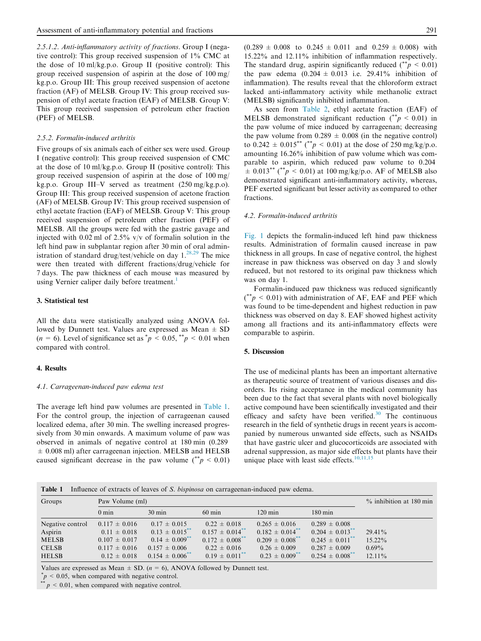2.5.1.2. Anti-inflammatory activity of fractions. Group I (negative control): This group received suspension of 1% CMC at the dose of 10 ml/kg.p.o. Group II (positive control): This group received suspension of aspirin at the dose of 100 mg/ kg.p.o. Group III: This group received suspension of acetone fraction (AF) of MELSB. Group IV: This group received suspension of ethyl acetate fraction (EAF) of MELSB. Group V: This group received suspension of petroleum ether fraction (PEF) of MELSB.

#### 2.5.2. Formalin-induced arthritis

Five groups of six animals each of either sex were used. Group I (negative control): This group received suspension of CMC at the dose of 10 ml/kg.p.o. Group II (positive control): This group received suspension of aspirin at the dose of 100 mg/ kg.p.o. Group III–V served as treatment (250 mg/kg.p.o). Group III: This group received suspension of acetone fraction (AF) of MELSB. Group IV: This group received suspension of ethyl acetate fraction (EAF) of MELSB. Group V: This group received suspension of petroleum ether fraction (PEF) of MELSB. All the groups were fed with the gastric gavage and injected with 0.02 ml of 2.5% v/v of formalin solution in the left hind paw in subplantar region after 30 min of oral administration of standard drug/test/vehicle on day  $1.^{28,29}$  $1.^{28,29}$  $1.^{28,29}$  The mice were then treated with different fractions/drug/vehicle for 7 days. The paw thickness of each mouse was measured by using Vernier caliper daily before treatment.<sup>[1](#page-4-0)</sup>

## 3. Statistical test

All the data were statistically analyzed using ANOVA followed by Dunnett test. Values are expressed as Mean  $\pm$  SD ( $n = 6$ ). Level of significance set as  $p \le 0.05$ ,  $p \le 0.01$  when compared with control.

# 4. Results

#### 4.1. Carrageenan-induced paw edema test

The average left hind paw volumes are presented in Table 1. For the control group, the injection of carrageenan caused localized edema, after 30 min. The swelling increased progressively from 30 min onwards. A maximum volume of paw was observed in animals of negative control at 180 min (0.289  $\pm$  0.008 ml) after carrageenan injection. MELSB and HELSB caused significant decrease in the paw volume ( $^{**}p \le 0.01$ )  $(0.289 \pm 0.008$  to  $0.245 \pm 0.011$  and  $0.259 \pm 0.008$  with 15.22% and 12.11% inhibition of inflammation respectively. The standard drug, aspirin significantly reduced  $({}^{**}p \le 0.01)$ the paw edema  $(0.204 \pm 0.013)$  i.e. 29.41% inhibition of inflammation). The results reveal that the chloroform extract lacked anti-inflammatory activity while methanolic extract (MELSB) significantly inhibited inflammation.

As seen from [Table 2,](#page-3-0) ethyl acetate fraction (EAF) of MELSB demonstrated significant reduction (\*\*p < 0.01) in the paw volume of mice induced by carrageenan; decreasing the paw volume from  $0.289 \pm 0.008$  (in the negative control) to  $0.242 \pm 0.015^{**}$  (\*\*p < 0.01) at the dose of 250 mg/kg/p.o. amounting 16.26% inhibition of paw volume which was comparable to aspirin, which reduced paw volume to 0.204  $\pm$  0.013\*\* (\*\*p < 0.01) at 100 mg/kg/p.o. AF of MELSB also demonstrated significant anti-inflammatory activity, whereas, PEF exerted significant but lesser activity as compared to other fractions.

#### 4.2. Formalin-induced arthritis

[Fig. 1](#page-3-0) depicts the formalin-induced left hind paw thickness results. Administration of formalin caused increase in paw thickness in all groups. In case of negative control, the highest increase in paw thickness was observed on day 3 and slowly reduced, but not restored to its original paw thickness which was on day 1.

Formalin-induced paw thickness was reduced significantly  $(*p < 0.01)$  with administration of AF, EAF and PEF which was found to be time-dependent and highest reduction in paw thickness was observed on day 8. EAF showed highest activity among all fractions and its anti-inflammatory effects were comparable to aspirin.

# 5. Discussion

The use of medicinal plants has been an important alternative as therapeutic source of treatment of various diseases and disorders. Its rising acceptance in the medical community has been due to the fact that several plants with novel biologically active compound have been scientifically investigated and their efficacy and safety have been verified.<sup>[30](#page-4-0)</sup> The continuous research in the field of synthetic drugs in recent years is accompanied by numerous unwanted side effects, such as NSAIDs that have gastric ulcer and glucocorticoids are associated with adrenal suppression, as major side effects but plants have their unique place with least side effects. $10,11,15$ 

Table 1 Influence of extracts of leaves of S. bispinosa on carrageenan-induced paw edema.

| Groups           | Paw Volume (ml)   | $\%$ inhibition at 180 min     |                                 |                                 |                                 |           |  |  |  |  |
|------------------|-------------------|--------------------------------|---------------------------------|---------------------------------|---------------------------------|-----------|--|--|--|--|
|                  | $0 \text{ min}$   | $30 \text{ min}$               | $60 \text{ min}$                | $120 \text{ min}$               | $180 \text{ min}$               |           |  |  |  |  |
| Negative control | $0.117 \pm 0.016$ | $0.17 \pm 0.015$               | $0.22 \pm 0.018$                | $0.265 \pm 0.016$               | $0.289 \pm 0.008$               |           |  |  |  |  |
| Aspirin          | $0.11 \pm 0.018$  | $0.13 \pm 0.015$ **            | $0.157 \pm 0.014$ **            | $0.182 \pm 0.014$ <sup>**</sup> | $0.204 \pm 0.013$               | $29.41\%$ |  |  |  |  |
| <b>MELSB</b>     | $0.107 \pm 0.017$ | $0.14 \pm 0.009$ <sup>**</sup> | $0.172 \pm 0.008$ <sup>**</sup> | $0.209 \pm 0.008$ <sup>**</sup> | $0.245 \pm 0.011$ <sup>**</sup> | $15.22\%$ |  |  |  |  |
| <b>CELSB</b>     | $0.117 \pm 0.016$ | $0.157 \pm 0.006$              | $0.22 \pm 0.016$                | $0.26 \pm 0.009$                | $0.287 \pm 0.009$               | $0.69\%$  |  |  |  |  |
| <b>HELSB</b>     | $0.12 \pm 0.018$  | $0.154 \pm 0.006$              | $0.19 \pm 0.011$ **             | $0.23 \pm 0.009$ **             | $0.254 \pm 0.008$ <sup>**</sup> | $12.11\%$ |  |  |  |  |

Values are expressed as Mean  $\pm$  SD. ( $n = 6$ ), ANOVA followed by Dunnett test.

 $p < 0.05$ , when compared with negative control.

\*\*  $p$  < 0.01, when compared with negative control.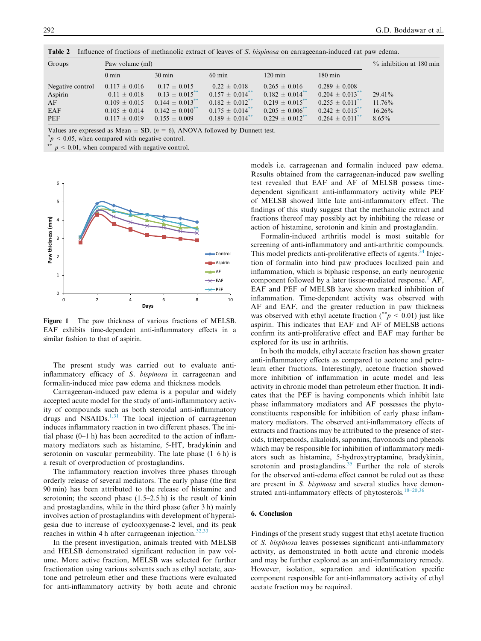| Groups           | Paw volume (ml)   |                        | $\%$ inhibition at 180 min      |                                 |                                 |           |
|------------------|-------------------|------------------------|---------------------------------|---------------------------------|---------------------------------|-----------|
|                  | $0 \text{ min}$   | $30 \text{ min}$       | $60 \text{ min}$                | $120 \text{ min}$               | $180 \,\mathrm{min}$            |           |
| Negative control | $0.117 \pm 0.016$ | $0.17 \pm 0.015$       | $0.22 \pm 0.018$                | $0.265 \pm 0.016$               | $0.289 \pm 0.008$               |           |
| Aspirin          | $0.11 \pm 0.018$  | $0.13 \pm 0.015$ **    | $0.157 \pm 0.014$ **            | $0.182 \pm 0.014$ <sup>**</sup> | $0.204 \pm 0.013$               | $29.41\%$ |
| AF               | $0.109 \pm 0.015$ | $0.144 \pm 0.013$ **   | $0.182 \pm 0.012$ <sup>**</sup> | $0.219 \pm 0.015$ **            | $0.255 \pm 0.011$ <sup>**</sup> | $11.76\%$ |
| EAF              | $0.105 \pm 0.014$ | $0.142 \pm 0.010^{**}$ | $0.175 \pm 0.014$ <sup>**</sup> | $0.205 \pm 0.006$               | $0.242 \pm 0.015$               | $16.26\%$ |
| PEF              | $0.117 \pm 0.019$ | $0.155 \pm 0.009$      | $0.189 \pm 0.014$ **            | $0.229 \pm 0.012$ **            | $0.264 \pm 0.011$ <sup>**</sup> | $8.65\%$  |
|                  |                   |                        |                                 |                                 |                                 |           |

<span id="page-3-0"></span>Table 2 Influence of fractions of methanolic extract of leaves of S. bispinosa on carrageenan-induced rat paw edema.

Values are expressed as Mean  $\pm$  SD. ( $n = 6$ ), ANOVA followed by Dunnett test.

 $p < 0.05$ , when compared with negative control.

\*\*  $p < 0.01$ , when compared with negative control.



Figure 1 The paw thickness of various fractions of MELSB. EAF exhibits time-dependent anti-inflammatory effects in a similar fashion to that of aspirin.

The present study was carried out to evaluate antiinflammatory efficacy of S. bispinosa in carrageenan and formalin-induced mice paw edema and thickness models.

Carrageenan-induced paw edema is a popular and widely accepted acute model for the study of anti-inflammatory activity of compounds such as both steroidal anti-inflammatory drugs and  $NSAIDS$ .<sup>[1,31](#page-4-0)</sup> The local injection of carrageenan induces inflammatory reaction in two different phases. The initial phase  $(0-1 h)$  has been accredited to the action of inflammatory mediators such as histamine, 5-HT, bradykinin and serotonin on vascular permeability. The late phase  $(1-6 h)$  is a result of overproduction of prostaglandins.

The inflammatory reaction involves three phases through orderly release of several mediators. The early phase (the first 90 min) has been attributed to the release of histamine and serotonin; the second phase (1.5–2.5 h) is the result of kinin and prostaglandins, while in the third phase (after 3 h) mainly involves action of prostaglandins with development of hyperalgesia due to increase of cyclooxygenase-2 level, and its peak reaches in within 4 h after carrageenan injection. $32,33$ 

In the present investigation, animals treated with MELSB and HELSB demonstrated significant reduction in paw volume. More active fraction, MELSB was selected for further fractionation using various solvents such as ethyl acetate, acetone and petroleum ether and these fractions were evaluated for anti-inflammatory activity by both acute and chronic models i.e. carrageenan and formalin induced paw edema. Results obtained from the carrageenan-induced paw swelling test revealed that EAF and AF of MELSB possess timedependent significant anti-inflammatory activity while PEF of MELSB showed little late anti-inflammatory effect. The findings of this study suggest that the methanolic extract and fractions thereof may possibly act by inhibiting the release or action of histamine, serotonin and kinin and prostaglandin.

Formalin-induced arthritis model is most suitable for screening of anti-inflammatory and anti-arthritic compounds. This model predicts anti-proliferative effects of agents.<sup>[34](#page-4-0)</sup> Injection of formalin into hind paw produces localized pain and inflammation, which is biphasic response, an early neurogenic component followed by a later tissue-mediated response.<sup>[1](#page-4-0)</sup> AF, EAF and PEF of MELSB have shown marked inhibition of inflammation. Time-dependent activity was observed with AF and EAF, and the greater reduction in paw thickness was observed with ethyl acetate fraction (\*\*p < 0.01) just like aspirin. This indicates that EAF and AF of MELSB actions confirm its anti-proliferative effect and EAF may further be explored for its use in arthritis.

In both the models, ethyl acetate fraction has shown greater anti-inflammatory effects as compared to acetone and petroleum ether fractions. Interestingly, acetone fraction showed more inhibition of inflammation in acute model and less activity in chronic model than petroleum ether fraction. It indicates that the PEF is having components which inhibit late phase inflammatory mediators and AF possesses the phytoconstituents responsible for inhibition of early phase inflammatory mediators. The observed anti-inflammatory effects of extracts and fractions may be attributed to the presence of steroids, triterpenoids, alkaloids, saponins, flavonoids and phenols which may be responsible for inhibition of inflammatory mediators such as histamine, 5-hydroxytryptamine, bradykinin, serotonin and prostaglandins. $35$  Further the role of sterols for the observed anti-edema effect cannot be ruled out as these are present in S. bispinosa and several studies have demon-strated anti-inflammatory effects of phytosterols.<sup>[18–20,36](#page-4-0)</sup>

# 6. Conclusion

Findings of the present study suggest that ethyl acetate fraction of S. bispinosa leaves possesses significant anti-inflammatory activity, as demonstrated in both acute and chronic models and may be further explored as an anti-inflammatory remedy. However, isolation, separation and identification specific component responsible for anti-inflammatory activity of ethyl acetate fraction may be required.